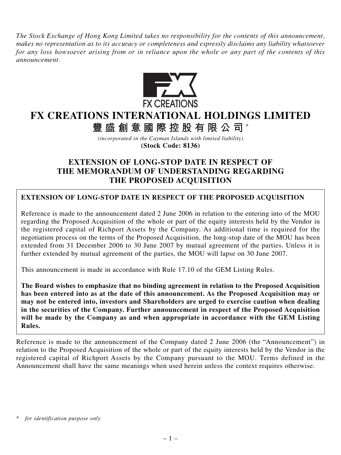*The Stock Exchange of Hong Kong Limited takes no responsibility for the contents of this announcement, makes no representation as to its accuracy or completeness and expressly disclaims any liability whatsoever for any loss howsoever arising from or in reliance upon the whole or any part of the contents of this announcement.*



## **FX CREATIONS INTERNATIONAL HOLDINGS LIMITED**

**豐盛創意國際控股有限公司** \*

*(incorporated in the Cayman Islands with limited liability)* **(Stock Code: 8136)**

## **EXTENSION OF LONG-STOP DATE IN RESPECT OF THE MEMORANDUM OF UNDERSTANDING REGARDING THE PROPOSED ACQUISITION**

## **EXTENSION OF LONG-STOP DATE IN RESPECT OF THE PROPOSED ACQUISITION**

Reference is made to the announcement dated 2 June 2006 in relation to the entering into of the MOU regarding the Proposed Acquisition of the whole or part of the equity interests held by the Vendor in the registered capital of Richport Assets by the Company. As additional time is required for the negotiation process on the terms of the Proposed Acquisition, the long-stop date of the MOU has been extended from 31 December 2006 to 30 June 2007 by mutual agreement of the parties. Unless it is further extended by mutual agreement of the parties, the MOU will lapse on 30 June 2007.

This announcement is made in accordance with Rule 17.10 of the GEM Listing Rules.

**The Board wishes to emphasize that no binding agreement in relation to the Proposed Acquisition has been entered into as at the date of this announcement. As the Proposed Acquisition may or may not be entered into, investors and Shareholders are urged to exercise caution when dealing in the securities of the Company. Further announcement in respect of the Proposed Acquisition will be made by the Company as and when appropriate in accordance with the GEM Listing Rules.**

Reference is made to the announcement of the Company dated 2 June 2006 (the "Announcement") in relation to the Proposed Acquisition of the whole or part of the equity interests held by the Vendor in the registered capital of Richport Assets by the Company pursuant to the MOU. Terms defined in the Announcement shall have the same meanings when used herein unless the context requires otherwise.

*<sup>\*</sup> for identification purpose only*